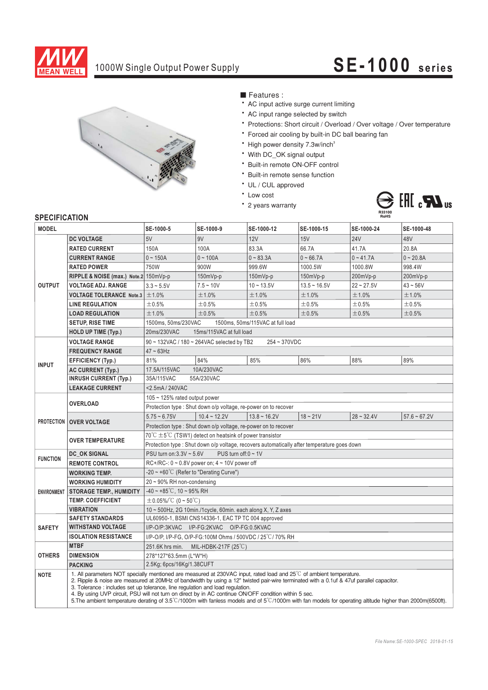

# 1000W Single Output Power Supply **SE-1000 series**



■ Features :

- AC input active surge current limiting
- AC input range selected by switch
- Protections: Short circuit / Overload / Over voltage / Over temperature
- \* Forced air cooling by built-in DC ball bearing fan
- \* High power density 7.3w/inch<sup>3</sup>
- With DC\_OK signal output
- \* Built-in remote ON-OFF control
- \* Built-in remote sense function
- UL / CUL approved
- \* Low cost
- \* 2 years warranty



#### **SPECIFICATION**

| <b>MODEL</b>       |                                                                                                                                                                                                                                                                                                                                                                                                                                                                                                                                                                                                                                            | SE-1000-5                                                                                   | SE-1000-9      | SE-1000-12        | SE-1000-15     | SE-1000-24   | SE-1000-48     |
|--------------------|--------------------------------------------------------------------------------------------------------------------------------------------------------------------------------------------------------------------------------------------------------------------------------------------------------------------------------------------------------------------------------------------------------------------------------------------------------------------------------------------------------------------------------------------------------------------------------------------------------------------------------------------|---------------------------------------------------------------------------------------------|----------------|-------------------|----------------|--------------|----------------|
|                    | <b>DC VOLTAGE</b>                                                                                                                                                                                                                                                                                                                                                                                                                                                                                                                                                                                                                          | 5V                                                                                          | 9V             | 12V               | 15V            | <b>24V</b>   | 48V            |
| <b>OUTPUT</b>      | <b>RATED CURRENT</b>                                                                                                                                                                                                                                                                                                                                                                                                                                                                                                                                                                                                                       | 150A                                                                                        | 100A           | 83.3A             | 66.7A          | 41.7A        | 20.8A          |
|                    | <b>CURRENT RANGE</b>                                                                                                                                                                                                                                                                                                                                                                                                                                                                                                                                                                                                                       | $0 - 150A$                                                                                  | $0 - 100A$     | $0 - 83.3A$       | $0 - 66.7A$    | $0 - 41.7A$  | $0 - 20.8A$    |
|                    | <b>RATED POWER</b>                                                                                                                                                                                                                                                                                                                                                                                                                                                                                                                                                                                                                         | 750W                                                                                        | 900W           | 999.6W            | 1000.5W        | 1000.8W      | 998.4W         |
|                    | RIPPLE & NOISE (max.) Note.2 150mVp-p                                                                                                                                                                                                                                                                                                                                                                                                                                                                                                                                                                                                      |                                                                                             | $150mVp-p$     | $150mVp-p$        | $150mVp-p$     | 200mVp-p     | 200mVp-p       |
|                    | <b>VOLTAGE ADJ. RANGE</b>                                                                                                                                                                                                                                                                                                                                                                                                                                                                                                                                                                                                                  | $3.3 - 5.5V$                                                                                | $7.5 - 10V$    | $10 - 13.5V$      | $13.5 - 16.5V$ | $22 - 27.5V$ | $43 - 56V$     |
|                    | <b>VOLTAGE TOLERANCE Note.3</b>                                                                                                                                                                                                                                                                                                                                                                                                                                                                                                                                                                                                            | ±1.0%                                                                                       | ±1.0%          | ±1.0%             | ±1.0%          | ±1.0%        | ±1.0%          |
|                    | <b>LINE REGULATION</b>                                                                                                                                                                                                                                                                                                                                                                                                                                                                                                                                                                                                                     | ±0.5%                                                                                       | ±0.5%          | ±0.5%             | ±0.5%          | ±0.5%        | ±0.5%          |
|                    | <b>LOAD REGULATION</b>                                                                                                                                                                                                                                                                                                                                                                                                                                                                                                                                                                                                                     | ±1.0%                                                                                       | ±0.5%          | ±0.5%             | ±0.5%          | ±0.5%        | ±0.5%          |
|                    | <b>SETUP, RISE TIME</b>                                                                                                                                                                                                                                                                                                                                                                                                                                                                                                                                                                                                                    | 1500ms, 50ms/230VAC<br>1500ms, 50ms/115VAC at full load                                     |                |                   |                |              |                |
|                    | <b>HOLD UP TIME (Typ.)</b>                                                                                                                                                                                                                                                                                                                                                                                                                                                                                                                                                                                                                 | 20ms/230VAC<br>15ms/115VAC at full load                                                     |                |                   |                |              |                |
| <b>INPUT</b>       | <b>VOLTAGE RANGE</b>                                                                                                                                                                                                                                                                                                                                                                                                                                                                                                                                                                                                                       | 90 ~ 132VAC / 180 ~ 264VAC selected by TB2<br>254~370VDC                                    |                |                   |                |              |                |
|                    | <b>FREQUENCY RANGE</b>                                                                                                                                                                                                                                                                                                                                                                                                                                                                                                                                                                                                                     | $47 \sim 63$ Hz                                                                             |                |                   |                |              |                |
|                    | <b>EFFICIENCY (Typ.)</b>                                                                                                                                                                                                                                                                                                                                                                                                                                                                                                                                                                                                                   | 81%                                                                                         | 84%            | 85%               | 86%            | 88%          | 89%            |
|                    | <b>AC CURRENT (Typ.)</b>                                                                                                                                                                                                                                                                                                                                                                                                                                                                                                                                                                                                                   | 17.5A/115VAC<br>10A/230VAC                                                                  |                |                   |                |              |                |
|                    | <b>INRUSH CURRENT (Typ.)</b>                                                                                                                                                                                                                                                                                                                                                                                                                                                                                                                                                                                                               | 35A/115VAC<br>55A/230VAC                                                                    |                |                   |                |              |                |
|                    | <b>LEAKAGE CURRENT</b>                                                                                                                                                                                                                                                                                                                                                                                                                                                                                                                                                                                                                     | <2.5mA / 240VAC                                                                             |                |                   |                |              |                |
|                    | <b>OVERLOAD</b>                                                                                                                                                                                                                                                                                                                                                                                                                                                                                                                                                                                                                            | 105 $\sim$ 125% rated output power                                                          |                |                   |                |              |                |
|                    |                                                                                                                                                                                                                                                                                                                                                                                                                                                                                                                                                                                                                                            | Protection type: Shut down o/p voltage, re-power on to recover                              |                |                   |                |              |                |
|                    | PROTECTION   OVER VOLTAGE                                                                                                                                                                                                                                                                                                                                                                                                                                                                                                                                                                                                                  | $5.75 - 6.75V$                                                                              | $10.4 - 12.2V$ | $13.8 \sim 16.2V$ | $18 - 21V$     | $28 - 32.4V$ | $57.6 - 67.2V$ |
|                    |                                                                                                                                                                                                                                                                                                                                                                                                                                                                                                                                                                                                                                            | Protection type : Shut down o/p voltage, re-power on to recover                             |                |                   |                |              |                |
|                    | <b>OVER TEMPERATURE</b>                                                                                                                                                                                                                                                                                                                                                                                                                                                                                                                                                                                                                    | $70^{\circ}$ C $\pm$ 5 $^{\circ}$ C (TSW1) detect on heatsink of power transistor           |                |                   |                |              |                |
|                    |                                                                                                                                                                                                                                                                                                                                                                                                                                                                                                                                                                                                                                            | Protection type : Shut down o/p voltage, recovers automatically after temperature goes down |                |                   |                |              |                |
| <b>FUNCTION</b>    | DC OK SIGNAL                                                                                                                                                                                                                                                                                                                                                                                                                                                                                                                                                                                                                               | PSU turn on: $3.3V \approx 5.6V$<br>PUS turn off: $0 \sim 1$ V                              |                |                   |                |              |                |
|                    | RC+/RC-: $0 \sim 0.8V$ power on: $4 \sim 10V$ power off<br><b>REMOTE CONTROL</b>                                                                                                                                                                                                                                                                                                                                                                                                                                                                                                                                                           |                                                                                             |                |                   |                |              |                |
| <b>ENVIRONMENT</b> | <b>WORKING TEMP.</b>                                                                                                                                                                                                                                                                                                                                                                                                                                                                                                                                                                                                                       | -20 $\sim$ +60 <sup>°</sup> C (Refer to "Derating Curve")                                   |                |                   |                |              |                |
|                    | <b>WORKING HUMIDITY</b>                                                                                                                                                                                                                                                                                                                                                                                                                                                                                                                                                                                                                    | 20~90% RH non-condensing                                                                    |                |                   |                |              |                |
|                    | <b>STORAGE TEMP., HUMIDITY</b>                                                                                                                                                                                                                                                                                                                                                                                                                                                                                                                                                                                                             | $-40 \sim +85^{\circ}$ C, 10 ~ 95% RH                                                       |                |                   |                |              |                |
|                    | <b>TEMP. COEFFICIENT</b>                                                                                                                                                                                                                                                                                                                                                                                                                                                                                                                                                                                                                   | $\pm$ 0.05%/°C (0 ~ 50°C)                                                                   |                |                   |                |              |                |
|                    | <b>VIBRATION</b>                                                                                                                                                                                                                                                                                                                                                                                                                                                                                                                                                                                                                           | 10 ~ 500Hz, 2G 10min./1cycle, 60min. each along X, Y, Z axes                                |                |                   |                |              |                |
| <b>SAFETY</b>      | <b>SAFETY STANDARDS</b>                                                                                                                                                                                                                                                                                                                                                                                                                                                                                                                                                                                                                    | UL60950-1, BSMI CNS14336-1, EAC TP TC 004 approved                                          |                |                   |                |              |                |
|                    | <b>WITHSTAND VOLTAGE</b>                                                                                                                                                                                                                                                                                                                                                                                                                                                                                                                                                                                                                   | I/P-O/P:3KVAC I/P-FG:2KVAC O/P-FG:0.5KVAC                                                   |                |                   |                |              |                |
|                    | <b>ISOLATION RESISTANCE</b>                                                                                                                                                                                                                                                                                                                                                                                                                                                                                                                                                                                                                | I/P-O/P, I/P-FG, O/P-FG:100M Ohms / 500VDC / 25°C/70% RH                                    |                |                   |                |              |                |
| <b>OTHERS</b>      | <b>MTBF</b>                                                                                                                                                                                                                                                                                                                                                                                                                                                                                                                                                                                                                                | 251.6K hrs min. MIL-HDBK-217F (25°C)                                                        |                |                   |                |              |                |
|                    | <b>DIMENSION</b>                                                                                                                                                                                                                                                                                                                                                                                                                                                                                                                                                                                                                           | 278*127*63.5mm (L*W*H)                                                                      |                |                   |                |              |                |
|                    | <b>PACKING</b>                                                                                                                                                                                                                                                                                                                                                                                                                                                                                                                                                                                                                             | 2.5Kg; 6pcs/16Kg/1.38CUFT                                                                   |                |                   |                |              |                |
| <b>NOTE</b>        | 1. All parameters NOT specially mentioned are measured at 230VAC input, rated load and 25°C of ambient temperature.<br>2. Ripple & noise are measured at 20MHz of bandwidth by using a 12" twisted pair-wire terminated with a 0.1uf & 47uf parallel capacitor.<br>3. Tolerance: includes set up tolerance, line regulation and load regulation.<br>4. By using UVP circuit, PSU will not turn on direct by in AC continue ON/OFF condition within 5 sec.<br>5. The ambient temperature derating of $3.5^{\circ}$ C/1000m with fanless models and of $5^{\circ}$ C/1000m with fan models for operating altitude higher than 2000m(6500ft). |                                                                                             |                |                   |                |              |                |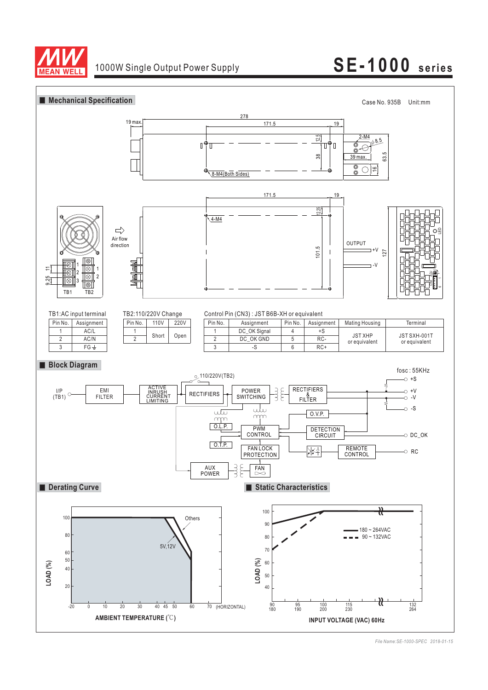

## 1000W Single Output Power Supply **SE-1000 series**